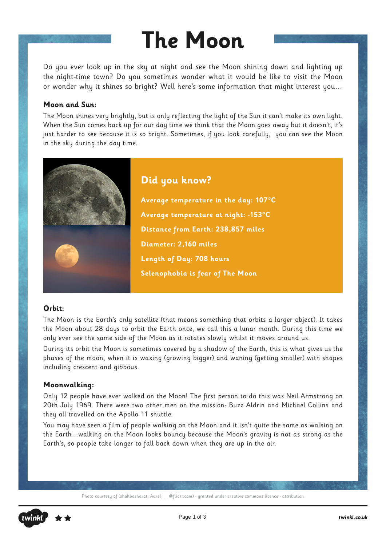### **The Moon**

Do you ever look up in the sky at night and see the Moon shining down and lighting up the night-time town? Do you sometimes wonder what it would be like to visit the Moon or wonder why it shines so bright? Well here's some information that might interest you…

#### **Moon and Sun:**

The Moon shines very brightly, but is only reflecting the light of the Sun it can't make its own light. When the Sun comes back up for our day time we think that the Moon goes away but it doesn't, it's just harder to see because it is so bright. Sometimes, if you look carefully, you can see the Moon in the sky during the day time.



#### **Orbit:**

The Moon is the Earth's only satellite (that means something that orbits a larger object). It takes the Moon about 28 days to orbit the Earth once, we call this a lunar month. During this time we only ever see the same side of the Moon as it rotates slowly whilst it moves around us.

During its orbit the Moon is sometimes covered by a shadow of the Earth, this is what gives us the phases of the moon, when it is waxing (growing bigger) and waning (getting smaller) with shapes including crescent and gibbous.

#### **Moonwalking:**

Only 12 people have ever walked on the Moon! The first person to do this was Neil Armstrong on 20th July 1969. There were two other men on the mission: Buzz Aldrin and Michael Collins and they all travelled on the Apollo 11 shuttle.

You may have seen a film of people walking on the Moon and it isn't quite the same as walking on the Earth…walking on the Moon looks bouncy because the Moon's gravity is not as strong as the Earth's, so people take longer to fall back down when they are up in the air.

Photo courtesy of (shahbasharat, Aurel\_\_\_@flickr.com) - granted under creative commons licence - attribution

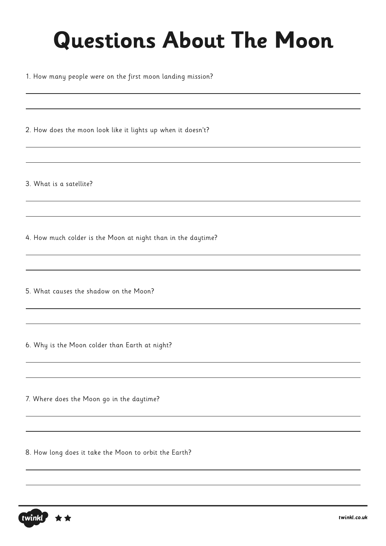# **Questions About The Moon**

1. How many people were on the first moon landing mission?

2. How does the moon look like it lights up when it doesn't?

3. What is a satellite?

4. How much colder is the Moon at night than in the daytime?

5. What causes the shadow on the Moon?

6. Why is the Moon colder than Earth at night?

7. Where does the Moon go in the daytime?

8. How long does it take the Moon to orbit the Earth?

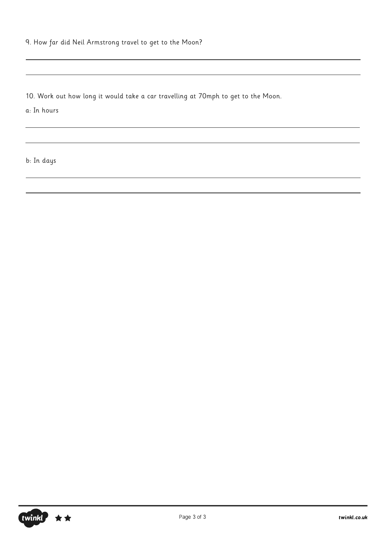9. How far did Neil Armstrong travel to get to the Moon?

10. Work out how long it would take a car travelling at 70mph to get to the Moon.

a: In hours

b: In days